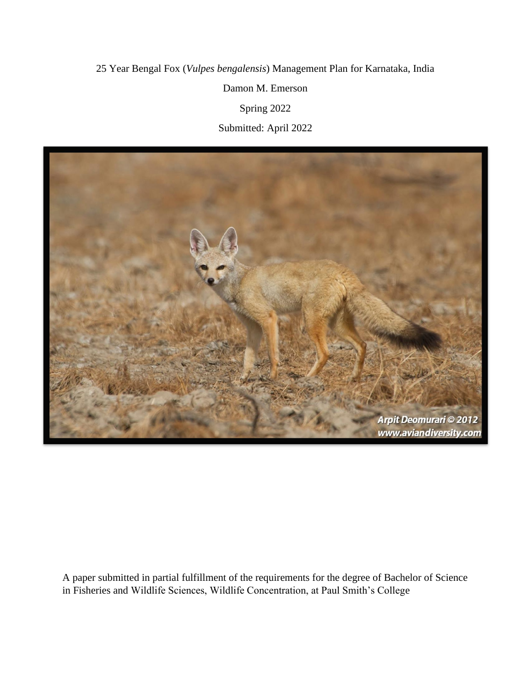# 25 Year Bengal Fox (*Vulpes bengalensis*) Management Plan for Karnataka, India Damon M. Emerson Spring 2022 Submitted: April 2022



A paper submitted in partial fulfillment of the requirements for the degree of Bachelor of Science in Fisheries and Wildlife Sciences, Wildlife Concentration, at Paul Smith's College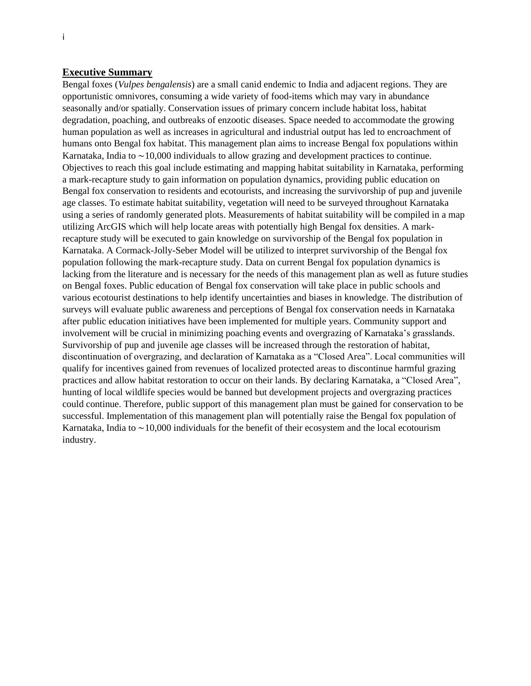# <span id="page-1-0"></span>**Executive Summary**

Bengal foxes (*Vulpes bengalensis*) are a small canid endemic to India and adjacent regions. They are opportunistic omnivores, consuming a wide variety of food-items which may vary in abundance seasonally and/or spatially. Conservation issues of primary concern include habitat loss, habitat degradation, poaching, and outbreaks of enzootic diseases. Space needed to accommodate the growing human population as well as increases in agricultural and industrial output has led to encroachment of humans onto Bengal fox habitat. This management plan aims to increase Bengal fox populations within Karnataka, India to  $\sim$ 10,000 individuals to allow grazing and development practices to continue. Objectives to reach this goal include estimating and mapping habitat suitability in Karnataka, performing a mark-recapture study to gain information on population dynamics, providing public education on Bengal fox conservation to residents and ecotourists, and increasing the survivorship of pup and juvenile age classes. To estimate habitat suitability, vegetation will need to be surveyed throughout Karnataka using a series of randomly generated plots. Measurements of habitat suitability will be compiled in a map utilizing ArcGIS which will help locate areas with potentially high Bengal fox densities. A markrecapture study will be executed to gain knowledge on survivorship of the Bengal fox population in Karnataka. A Cormack-Jolly-Seber Model will be utilized to interpret survivorship of the Bengal fox population following the mark-recapture study. Data on current Bengal fox population dynamics is lacking from the literature and is necessary for the needs of this management plan as well as future studies on Bengal foxes. Public education of Bengal fox conservation will take place in public schools and various ecotourist destinations to help identify uncertainties and biases in knowledge. The distribution of surveys will evaluate public awareness and perceptions of Bengal fox conservation needs in Karnataka after public education initiatives have been implemented for multiple years. Community support and involvement will be crucial in minimizing poaching events and overgrazing of Karnataka's grasslands. Survivorship of pup and juvenile age classes will be increased through the restoration of habitat, discontinuation of overgrazing, and declaration of Karnataka as a "Closed Area". Local communities will qualify for incentives gained from revenues of localized protected areas to discontinue harmful grazing practices and allow habitat restoration to occur on their lands. By declaring Karnataka, a "Closed Area", hunting of local wildlife species would be banned but development projects and overgrazing practices could continue. Therefore, public support of this management plan must be gained for conservation to be successful. Implementation of this management plan will potentially raise the Bengal fox population of Karnataka, India to  $\sim$  10,000 individuals for the benefit of their ecosystem and the local ecotourism industry.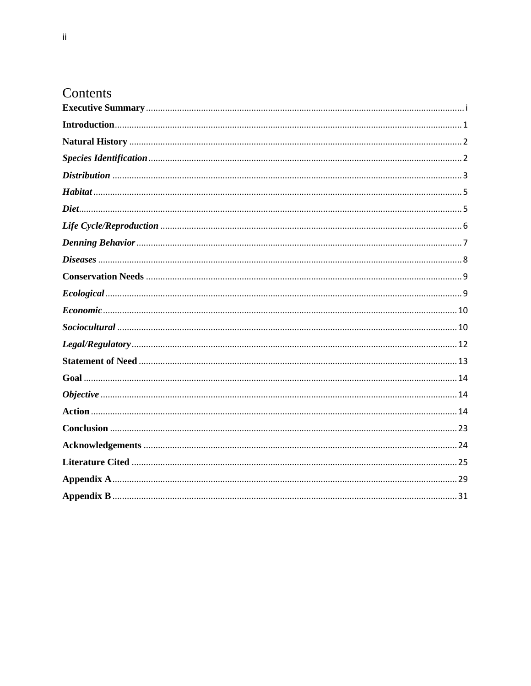# Contents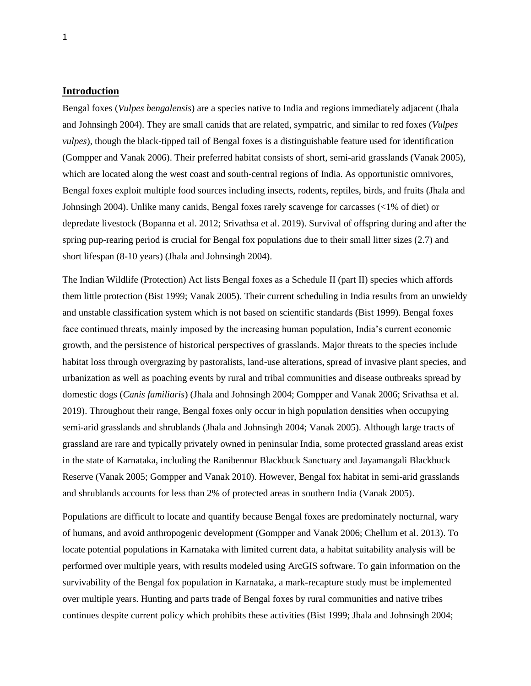#### <span id="page-3-0"></span>**Introduction**

Bengal foxes (*Vulpes bengalensis*) are a species native to India and regions immediately adjacent (Jhala and Johnsingh 2004). They are small canids that are related, sympatric, and similar to red foxes (*Vulpes vulpes*), though the black-tipped tail of Bengal foxes is a distinguishable feature used for identification (Gompper and Vanak 2006). Their preferred habitat consists of short, semi-arid grasslands (Vanak 2005), which are located along the west coast and south-central regions of India. As opportunistic omnivores, Bengal foxes exploit multiple food sources including insects, rodents, reptiles, birds, and fruits (Jhala and Johnsingh 2004). Unlike many canids, Bengal foxes rarely scavenge for carcasses (<1% of diet) or depredate livestock (Bopanna et al. 2012; Srivathsa et al. 2019). Survival of offspring during and after the spring pup-rearing period is crucial for Bengal fox populations due to their small litter sizes (2.7) and short lifespan (8-10 years) (Jhala and Johnsingh 2004).

The Indian Wildlife (Protection) Act lists Bengal foxes as a Schedule II (part II) species which affords them little protection (Bist 1999; Vanak 2005). Their current scheduling in India results from an unwieldy and unstable classification system which is not based on scientific standards (Bist 1999). Bengal foxes face continued threats, mainly imposed by the increasing human population, India's current economic growth, and the persistence of historical perspectives of grasslands. Major threats to the species include habitat loss through overgrazing by pastoralists, land-use alterations, spread of invasive plant species, and urbanization as well as poaching events by rural and tribal communities and disease outbreaks spread by domestic dogs (*Canis familiaris*) (Jhala and Johnsingh 2004; Gompper and Vanak 2006; Srivathsa et al. 2019). Throughout their range, Bengal foxes only occur in high population densities when occupying semi-arid grasslands and shrublands (Jhala and Johnsingh 2004; Vanak 2005). Although large tracts of grassland are rare and typically privately owned in peninsular India, some protected grassland areas exist in the state of Karnataka, including the Ranibennur Blackbuck Sanctuary and Jayamangali Blackbuck Reserve (Vanak 2005; Gompper and Vanak 2010). However, Bengal fox habitat in semi-arid grasslands and shrublands accounts for less than 2% of protected areas in southern India (Vanak 2005).

Populations are difficult to locate and quantify because Bengal foxes are predominately nocturnal, wary of humans, and avoid anthropogenic development (Gompper and Vanak 2006; Chellum et al. 2013). To locate potential populations in Karnataka with limited current data, a habitat suitability analysis will be performed over multiple years, with results modeled using ArcGIS software. To gain information on the survivability of the Bengal fox population in Karnataka, a mark-recapture study must be implemented over multiple years. Hunting and parts trade of Bengal foxes by rural communities and native tribes continues despite current policy which prohibits these activities (Bist 1999; Jhala and Johnsingh 2004;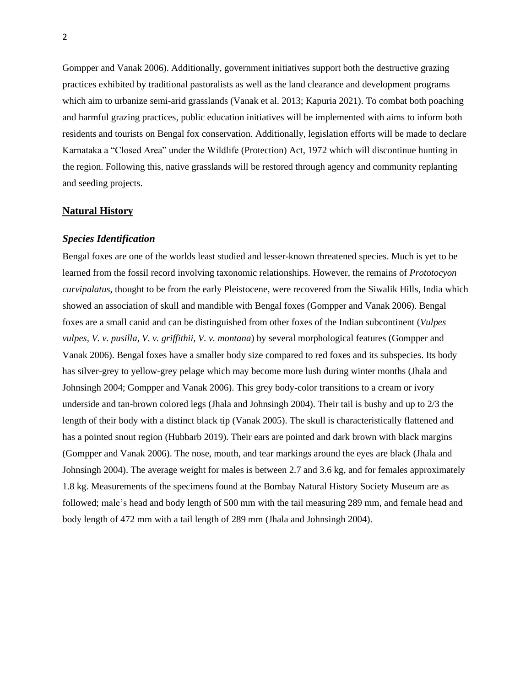Gompper and Vanak 2006). Additionally, government initiatives support both the destructive grazing practices exhibited by traditional pastoralists as well as the land clearance and development programs which aim to urbanize semi-arid grasslands (Vanak et al. 2013; Kapuria 2021). To combat both poaching and harmful grazing practices, public education initiatives will be implemented with aims to inform both residents and tourists on Bengal fox conservation. Additionally, legislation efforts will be made to declare Karnataka a "Closed Area" under the Wildlife (Protection) Act, 1972 which will discontinue hunting in the region. Following this, native grasslands will be restored through agency and community replanting and seeding projects.

#### <span id="page-4-0"></span>**Natural History**

#### <span id="page-4-1"></span>*Species Identification*

Bengal foxes are one of the worlds least studied and lesser-known threatened species. Much is yet to be learned from the fossil record involving taxonomic relationships. However, the remains of *Prototocyon curvipalatus*, thought to be from the early Pleistocene, were recovered from the Siwalik Hills, India which showed an association of skull and mandible with Bengal foxes (Gompper and Vanak 2006). Bengal foxes are a small canid and can be distinguished from other foxes of the Indian subcontinent (*Vulpes vulpes, V. v. pusilla, V. v. griffithii, V. v. montana*) by several morphological features (Gompper and Vanak 2006). Bengal foxes have a smaller body size compared to red foxes and its subspecies. Its body has silver-grey to yellow-grey pelage which may become more lush during winter months (Jhala and Johnsingh 2004; Gompper and Vanak 2006). This grey body-color transitions to a cream or ivory underside and tan-brown colored legs (Jhala and Johnsingh 2004). Their tail is bushy and up to 2/3 the length of their body with a distinct black tip (Vanak 2005). The skull is characteristically flattened and has a pointed snout region (Hubbarb 2019). Their ears are pointed and dark brown with black margins (Gompper and Vanak 2006). The nose, mouth, and tear markings around the eyes are black (Jhala and Johnsingh 2004). The average weight for males is between 2.7 and 3.6 kg, and for females approximately 1.8 kg. Measurements of the specimens found at the Bombay Natural History Society Museum are as followed; male's head and body length of 500 mm with the tail measuring 289 mm, and female head and body length of 472 mm with a tail length of 289 mm (Jhala and Johnsingh 2004).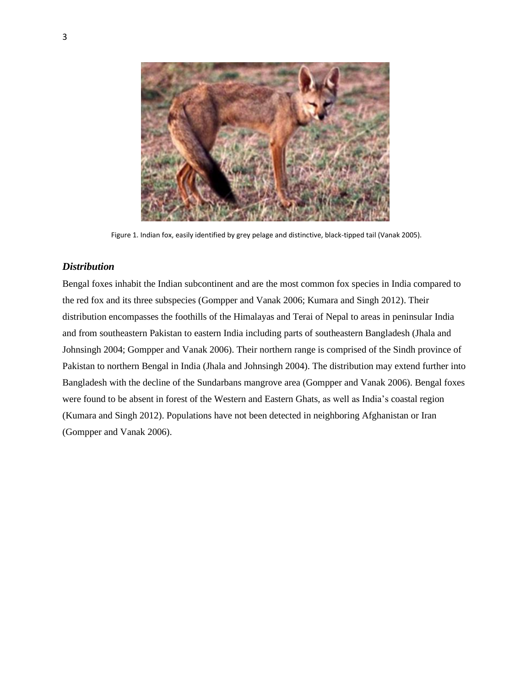

Figure 1. Indian fox, easily identified by grey pelage and distinctive, black-tipped tail (Vanak 2005).

# <span id="page-5-0"></span>*Distribution*

Bengal foxes inhabit the Indian subcontinent and are the most common fox species in India compared to the red fox and its three subspecies (Gompper and Vanak 2006; Kumara and Singh 2012). Their distribution encompasses the foothills of the Himalayas and Terai of Nepal to areas in peninsular India and from southeastern Pakistan to eastern India including parts of southeastern Bangladesh (Jhala and Johnsingh 2004; Gompper and Vanak 2006). Their northern range is comprised of the Sindh province of Pakistan to northern Bengal in India (Jhala and Johnsingh 2004). The distribution may extend further into Bangladesh with the decline of the Sundarbans mangrove area (Gompper and Vanak 2006). Bengal foxes were found to be absent in forest of the Western and Eastern Ghats, as well as India's coastal region (Kumara and Singh 2012). Populations have not been detected in neighboring Afghanistan or Iran (Gompper and Vanak 2006).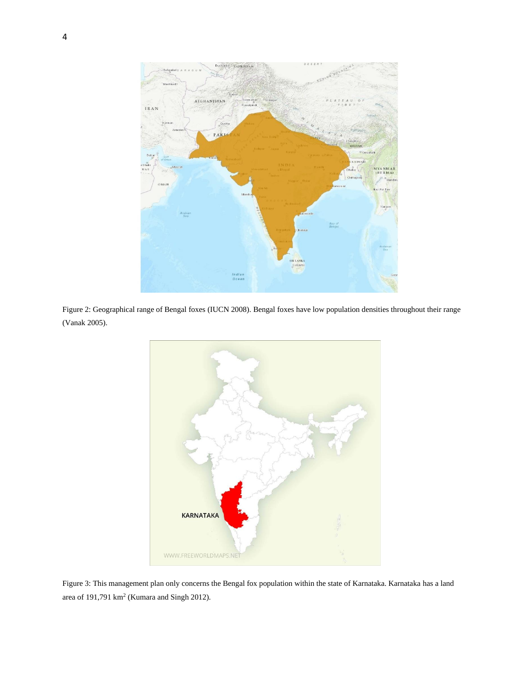

Figure 2: Geographical range of Bengal foxes (IUCN 2008). Bengal foxes have low population densities throughout their range (Vanak 2005).



Figure 3: This management plan only concerns the Bengal fox population within the state of Karnataka. Karnataka has a land area of  $191,791 \text{ km}^2$  (Kumara and Singh 2012).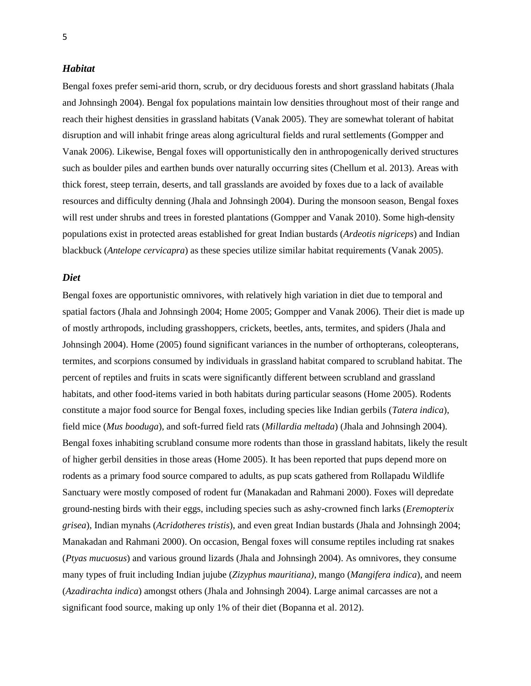#### <span id="page-7-0"></span>*Habitat*

Bengal foxes prefer semi-arid thorn, scrub, or dry deciduous forests and short grassland habitats (Jhala and Johnsingh 2004). Bengal fox populations maintain low densities throughout most of their range and reach their highest densities in grassland habitats (Vanak 2005). They are somewhat tolerant of habitat disruption and will inhabit fringe areas along agricultural fields and rural settlements (Gompper and Vanak 2006). Likewise, Bengal foxes will opportunistically den in anthropogenically derived structures such as boulder piles and earthen bunds over naturally occurring sites (Chellum et al. 2013). Areas with thick forest, steep terrain, deserts, and tall grasslands are avoided by foxes due to a lack of available resources and difficulty denning (Jhala and Johnsingh 2004). During the monsoon season, Bengal foxes will rest under shrubs and trees in forested plantations (Gompper and Vanak 2010). Some high-density populations exist in protected areas established for great Indian bustards (*Ardeotis nigriceps*) and Indian blackbuck (*Antelope cervicapra*) as these species utilize similar habitat requirements (Vanak 2005).

#### <span id="page-7-1"></span>*Diet*

Bengal foxes are opportunistic omnivores, with relatively high variation in diet due to temporal and spatial factors (Jhala and Johnsingh 2004; Home 2005; Gompper and Vanak 2006). Their diet is made up of mostly arthropods, including grasshoppers, crickets, beetles, ants, termites, and spiders (Jhala and Johnsingh 2004). Home (2005) found significant variances in the number of orthopterans, coleopterans, termites, and scorpions consumed by individuals in grassland habitat compared to scrubland habitat. The percent of reptiles and fruits in scats were significantly different between scrubland and grassland habitats, and other food-items varied in both habitats during particular seasons (Home 2005). Rodents constitute a major food source for Bengal foxes, including species like Indian gerbils (*Tatera indica*), field mice (*Mus booduga*), and soft-furred field rats (*Millardia meltada*) (Jhala and Johnsingh 2004). Bengal foxes inhabiting scrubland consume more rodents than those in grassland habitats, likely the result of higher gerbil densities in those areas (Home 2005). It has been reported that pups depend more on rodents as a primary food source compared to adults, as pup scats gathered from Rollapadu Wildlife Sanctuary were mostly composed of rodent fur (Manakadan and Rahmani 2000). Foxes will depredate ground-nesting birds with their eggs, including species such as ashy-crowned finch larks (*Eremopterix grisea*), Indian mynahs (*Acridotheres tristis*), and even great Indian bustards (Jhala and Johnsingh 2004; Manakadan and Rahmani 2000). On occasion, Bengal foxes will consume reptiles including rat snakes (*Ptyas mucuosus*) and various ground lizards (Jhala and Johnsingh 2004). As omnivores, they consume many types of fruit including Indian jujube (*Zizyphus mauritiana)*, mango (*Mangifera indica*), and neem (*Azadirachta indica*) amongst others (Jhala and Johnsingh 2004). Large animal carcasses are not a significant food source, making up only 1% of their diet (Bopanna et al. 2012).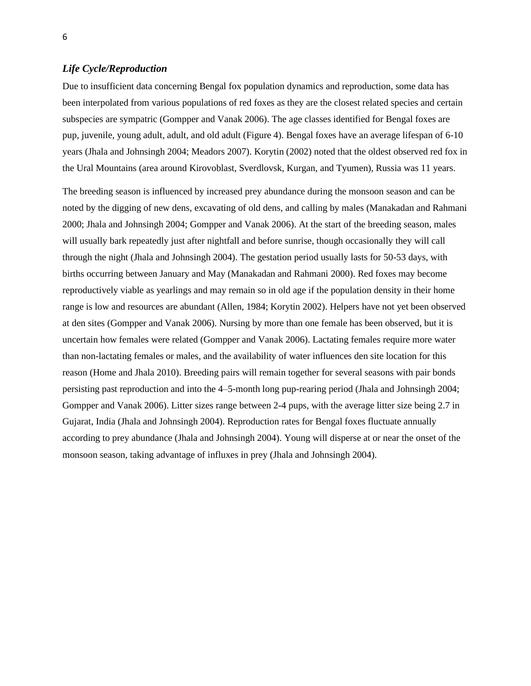#### <span id="page-8-0"></span>*Life Cycle/Reproduction*

Due to insufficient data concerning Bengal fox population dynamics and reproduction, some data has been interpolated from various populations of red foxes as they are the closest related species and certain subspecies are sympatric (Gompper and Vanak 2006). The age classes identified for Bengal foxes are pup, juvenile, young adult, adult, and old adult (Figure 4). Bengal foxes have an average lifespan of 6-10 years (Jhala and Johnsingh 2004; Meadors 2007). Korytin (2002) noted that the oldest observed red fox in the Ural Mountains (area around Kirovoblast, Sverdlovsk, Kurgan, and Tyumen), Russia was 11 years.

The breeding season is influenced by increased prey abundance during the monsoon season and can be noted by the digging of new dens, excavating of old dens, and calling by males (Manakadan and Rahmani 2000; Jhala and Johnsingh 2004; Gompper and Vanak 2006). At the start of the breeding season, males will usually bark repeatedly just after nightfall and before sunrise, though occasionally they will call through the night (Jhala and Johnsingh 2004). The gestation period usually lasts for 50-53 days, with births occurring between January and May (Manakadan and Rahmani 2000). Red foxes may become reproductively viable as yearlings and may remain so in old age if the population density in their home range is low and resources are abundant (Allen, 1984; Korytin 2002). Helpers have not yet been observed at den sites (Gompper and Vanak 2006). Nursing by more than one female has been observed, but it is uncertain how females were related (Gompper and Vanak 2006). Lactating females require more water than non-lactating females or males, and the availability of water influences den site location for this reason (Home and Jhala 2010). Breeding pairs will remain together for several seasons with pair bonds persisting past reproduction and into the 4–5-month long pup-rearing period (Jhala and Johnsingh 2004; Gompper and Vanak 2006). Litter sizes range between 2-4 pups, with the average litter size being 2.7 in Gujarat, India (Jhala and Johnsingh 2004). Reproduction rates for Bengal foxes fluctuate annually according to prey abundance (Jhala and Johnsingh 2004). Young will disperse at or near the onset of the monsoon season, taking advantage of influxes in prey (Jhala and Johnsingh 2004).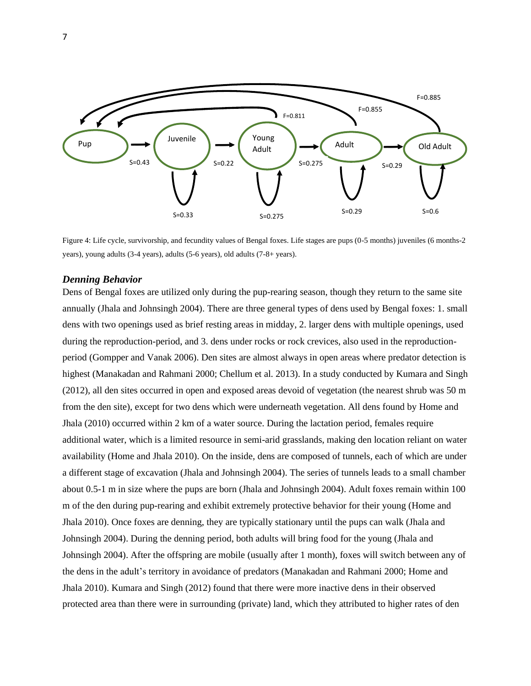

Figure 4: Life cycle, survivorship, and fecundity values of Bengal foxes. Life stages are pups (0-5 months) juveniles (6 months-2 years), young adults (3-4 years), adults (5-6 years), old adults (7-8+ years).

#### <span id="page-9-0"></span>*Denning Behavior*

Dens of Bengal foxes are utilized only during the pup-rearing season, though they return to the same site annually (Jhala and Johnsingh 2004). There are three general types of dens used by Bengal foxes: 1. small dens with two openings used as brief resting areas in midday, 2. larger dens with multiple openings, used during the reproduction-period, and 3. dens under rocks or rock crevices, also used in the reproductionperiod (Gompper and Vanak 2006). Den sites are almost always in open areas where predator detection is highest (Manakadan and Rahmani 2000; Chellum et al. 2013). In a study conducted by Kumara and Singh (2012), all den sites occurred in open and exposed areas devoid of vegetation (the nearest shrub was 50 m from the den site), except for two dens which were underneath vegetation. All dens found by Home and Jhala (2010) occurred within 2 km of a water source. During the lactation period, females require additional water, which is a limited resource in semi-arid grasslands, making den location reliant on water availability (Home and Jhala 2010). On the inside, dens are composed of tunnels, each of which are under a different stage of excavation (Jhala and Johnsingh 2004). The series of tunnels leads to a small chamber about 0.5-1 m in size where the pups are born (Jhala and Johnsingh 2004). Adult foxes remain within 100 m of the den during pup-rearing and exhibit extremely protective behavior for their young (Home and Jhala 2010). Once foxes are denning, they are typically stationary until the pups can walk (Jhala and Johnsingh 2004). During the denning period, both adults will bring food for the young (Jhala and Johnsingh 2004). After the offspring are mobile (usually after 1 month), foxes will switch between any of the dens in the adult's territory in avoidance of predators (Manakadan and Rahmani 2000; Home and Jhala 2010). Kumara and Singh (2012) found that there were more inactive dens in their observed protected area than there were in surrounding (private) land, which they attributed to higher rates of den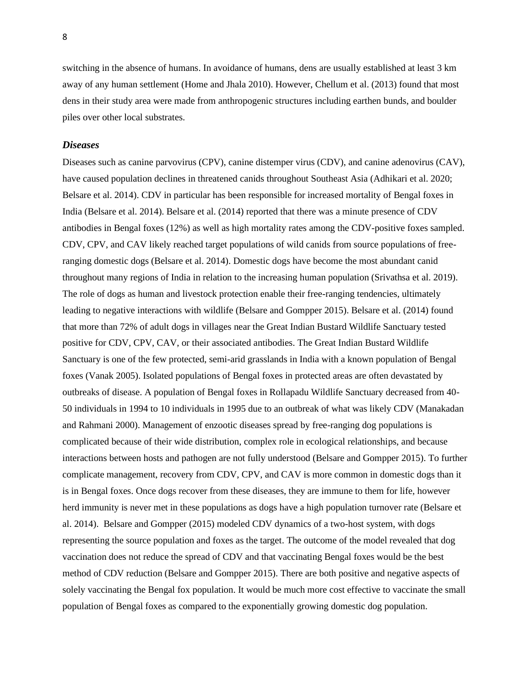switching in the absence of humans. In avoidance of humans, dens are usually established at least 3 km away of any human settlement (Home and Jhala 2010). However, Chellum et al. (2013) found that most dens in their study area were made from anthropogenic structures including earthen bunds, and boulder piles over other local substrates.

#### <span id="page-10-0"></span>*Diseases*

Diseases such as canine parvovirus (CPV), canine distemper virus (CDV), and canine adenovirus (CAV), have caused population declines in threatened canids throughout Southeast Asia (Adhikari et al. 2020; Belsare et al. 2014). CDV in particular has been responsible for increased mortality of Bengal foxes in India (Belsare et al. 2014). Belsare et al. (2014) reported that there was a minute presence of CDV antibodies in Bengal foxes (12%) as well as high mortality rates among the CDV-positive foxes sampled. CDV, CPV, and CAV likely reached target populations of wild canids from source populations of freeranging domestic dogs (Belsare et al. 2014). Domestic dogs have become the most abundant canid throughout many regions of India in relation to the increasing human population (Srivathsa et al. 2019). The role of dogs as human and livestock protection enable their free-ranging tendencies, ultimately leading to negative interactions with wildlife (Belsare and Gompper 2015). Belsare et al. (2014) found that more than 72% of adult dogs in villages near the Great Indian Bustard Wildlife Sanctuary tested positive for CDV, CPV, CAV, or their associated antibodies. The Great Indian Bustard Wildlife Sanctuary is one of the few protected, semi-arid grasslands in India with a known population of Bengal foxes (Vanak 2005). Isolated populations of Bengal foxes in protected areas are often devastated by outbreaks of disease. A population of Bengal foxes in Rollapadu Wildlife Sanctuary decreased from 40- 50 individuals in 1994 to 10 individuals in 1995 due to an outbreak of what was likely CDV (Manakadan and Rahmani 2000). Management of enzootic diseases spread by free-ranging dog populations is complicated because of their wide distribution, complex role in ecological relationships, and because interactions between hosts and pathogen are not fully understood (Belsare and Gompper 2015). To further complicate management, recovery from CDV, CPV, and CAV is more common in domestic dogs than it is in Bengal foxes. Once dogs recover from these diseases, they are immune to them for life, however herd immunity is never met in these populations as dogs have a high population turnover rate (Belsare et al. 2014). Belsare and Gompper (2015) modeled CDV dynamics of a two-host system, with dogs representing the source population and foxes as the target. The outcome of the model revealed that dog vaccination does not reduce the spread of CDV and that vaccinating Bengal foxes would be the best method of CDV reduction (Belsare and Gompper 2015). There are both positive and negative aspects of solely vaccinating the Bengal fox population. It would be much more cost effective to vaccinate the small population of Bengal foxes as compared to the exponentially growing domestic dog population.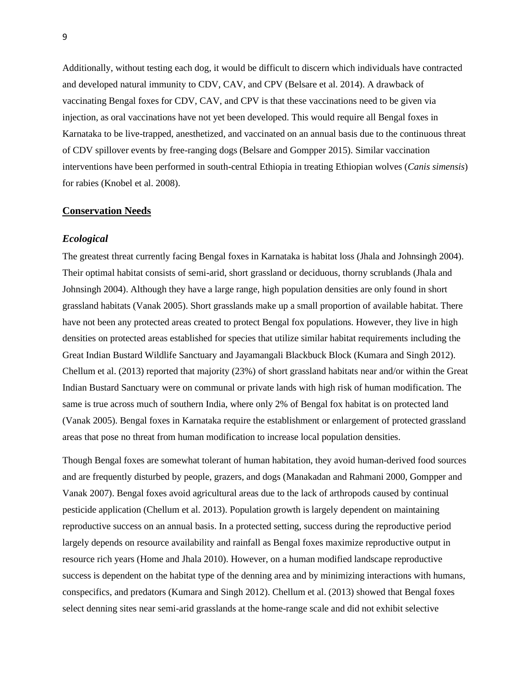Additionally, without testing each dog, it would be difficult to discern which individuals have contracted and developed natural immunity to CDV, CAV, and CPV (Belsare et al. 2014). A drawback of vaccinating Bengal foxes for CDV, CAV, and CPV is that these vaccinations need to be given via injection, as oral vaccinations have not yet been developed. This would require all Bengal foxes in Karnataka to be live-trapped, anesthetized, and vaccinated on an annual basis due to the continuous threat of CDV spillover events by free-ranging dogs (Belsare and Gompper 2015). Similar vaccination interventions have been performed in south-central Ethiopia in treating Ethiopian wolves (*Canis simensis*) for rabies (Knobel et al. 2008).

#### <span id="page-11-0"></span>**Conservation Needs**

#### <span id="page-11-1"></span>*Ecological*

The greatest threat currently facing Bengal foxes in Karnataka is habitat loss (Jhala and Johnsingh 2004). Their optimal habitat consists of semi-arid, short grassland or deciduous, thorny scrublands (Jhala and Johnsingh 2004). Although they have a large range, high population densities are only found in short grassland habitats (Vanak 2005). Short grasslands make up a small proportion of available habitat. There have not been any protected areas created to protect Bengal fox populations. However, they live in high densities on protected areas established for species that utilize similar habitat requirements including the Great Indian Bustard Wildlife Sanctuary and Jayamangali Blackbuck Block (Kumara and Singh 2012). Chellum et al. (2013) reported that majority (23%) of short grassland habitats near and/or within the Great Indian Bustard Sanctuary were on communal or private lands with high risk of human modification. The same is true across much of southern India, where only 2% of Bengal fox habitat is on protected land (Vanak 2005). Bengal foxes in Karnataka require the establishment or enlargement of protected grassland areas that pose no threat from human modification to increase local population densities.

Though Bengal foxes are somewhat tolerant of human habitation, they avoid human-derived food sources and are frequently disturbed by people, grazers, and dogs (Manakadan and Rahmani 2000, Gompper and Vanak 2007). Bengal foxes avoid agricultural areas due to the lack of arthropods caused by continual pesticide application (Chellum et al. 2013). Population growth is largely dependent on maintaining reproductive success on an annual basis. In a protected setting, success during the reproductive period largely depends on resource availability and rainfall as Bengal foxes maximize reproductive output in resource rich years (Home and Jhala 2010). However, on a human modified landscape reproductive success is dependent on the habitat type of the denning area and by minimizing interactions with humans, conspecifics, and predators (Kumara and Singh 2012). Chellum et al. (2013) showed that Bengal foxes select denning sites near semi-arid grasslands at the home-range scale and did not exhibit selective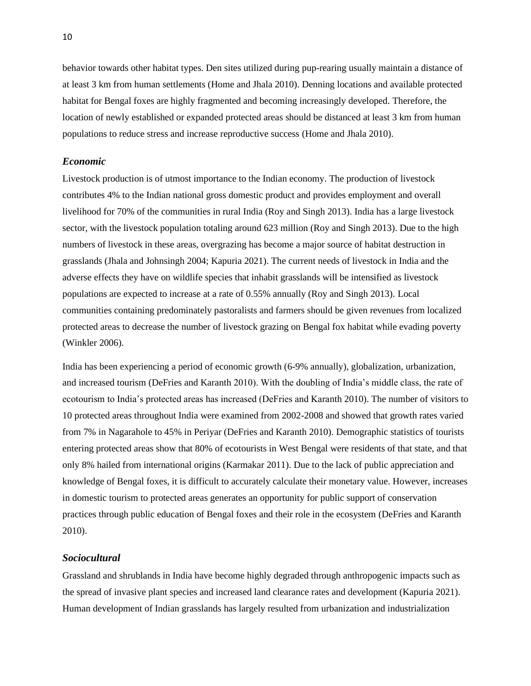behavior towards other habitat types. Den sites utilized during pup-rearing usually maintain a distance of at least 3 km from human settlements (Home and Jhala 2010). Denning locations and available protected habitat for Bengal foxes are highly fragmented and becoming increasingly developed. Therefore, the location of newly established or expanded protected areas should be distanced at least 3 km from human populations to reduce stress and increase reproductive success (Home and Jhala 2010).

#### <span id="page-12-0"></span>*Economic*

Livestock production is of utmost importance to the Indian economy. The production of livestock contributes 4% to the Indian national gross domestic product and provides employment and overall livelihood for 70% of the communities in rural India (Roy and Singh 2013). India has a large livestock sector, with the livestock population totaling around 623 million (Roy and Singh 2013). Due to the high numbers of livestock in these areas, overgrazing has become a major source of habitat destruction in grasslands (Jhala and Johnsingh 2004; Kapuria 2021). The current needs of livestock in India and the adverse effects they have on wildlife species that inhabit grasslands will be intensified as livestock populations are expected to increase at a rate of 0.55% annually (Roy and Singh 2013). Local communities containing predominately pastoralists and farmers should be given revenues from localized protected areas to decrease the number of livestock grazing on Bengal fox habitat while evading poverty (Winkler 2006).

India has been experiencing a period of economic growth (6-9% annually), globalization, urbanization, and increased tourism (DeFries and Karanth 2010). With the doubling of India's middle class, the rate of ecotourism to India's protected areas has increased (DeFries and Karanth 2010). The number of visitors to 10 protected areas throughout India were examined from 2002-2008 and showed that growth rates varied from 7% in Nagarahole to 45% in Periyar (DeFries and Karanth 2010). Demographic statistics of tourists entering protected areas show that 80% of ecotourists in West Bengal were residents of that state, and that only 8% hailed from international origins (Karmakar 2011). Due to the lack of public appreciation and knowledge of Bengal foxes, it is difficult to accurately calculate their monetary value. However, increases in domestic tourism to protected areas generates an opportunity for public support of conservation practices through public education of Bengal foxes and their role in the ecosystem (DeFries and Karanth 2010).

## <span id="page-12-1"></span>*Sociocultural*

Grassland and shrublands in India have become highly degraded through anthropogenic impacts such as the spread of invasive plant species and increased land clearance rates and development (Kapuria 2021). Human development of Indian grasslands has largely resulted from urbanization and industrialization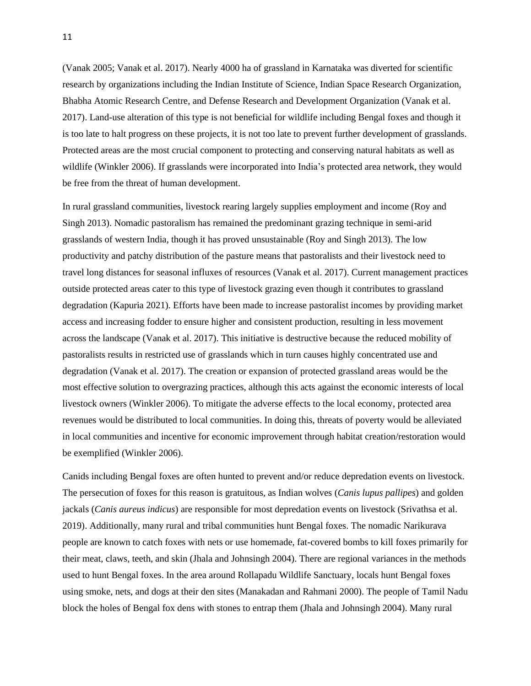(Vanak 2005; Vanak et al. 2017). Nearly 4000 ha of grassland in Karnataka was diverted for scientific research by organizations including the Indian Institute of Science, Indian Space Research Organization, Bhabha Atomic Research Centre, and Defense Research and Development Organization (Vanak et al. 2017). Land-use alteration of this type is not beneficial for wildlife including Bengal foxes and though it is too late to halt progress on these projects, it is not too late to prevent further development of grasslands. Protected areas are the most crucial component to protecting and conserving natural habitats as well as wildlife (Winkler 2006). If grasslands were incorporated into India's protected area network, they would be free from the threat of human development.

In rural grassland communities, livestock rearing largely supplies employment and income (Roy and Singh 2013). Nomadic pastoralism has remained the predominant grazing technique in semi-arid grasslands of western India, though it has proved unsustainable (Roy and Singh 2013). The low productivity and patchy distribution of the pasture means that pastoralists and their livestock need to travel long distances for seasonal influxes of resources (Vanak et al. 2017). Current management practices outside protected areas cater to this type of livestock grazing even though it contributes to grassland degradation (Kapuria 2021). Efforts have been made to increase pastoralist incomes by providing market access and increasing fodder to ensure higher and consistent production, resulting in less movement across the landscape (Vanak et al. 2017). This initiative is destructive because the reduced mobility of pastoralists results in restricted use of grasslands which in turn causes highly concentrated use and degradation (Vanak et al. 2017). The creation or expansion of protected grassland areas would be the most effective solution to overgrazing practices, although this acts against the economic interests of local livestock owners (Winkler 2006). To mitigate the adverse effects to the local economy, protected area revenues would be distributed to local communities. In doing this, threats of poverty would be alleviated in local communities and incentive for economic improvement through habitat creation/restoration would be exemplified (Winkler 2006).

Canids including Bengal foxes are often hunted to prevent and/or reduce depredation events on livestock. The persecution of foxes for this reason is gratuitous, as Indian wolves (*Canis lupus pallipes*) and golden jackals (*Canis aureus indicus*) are responsible for most depredation events on livestock (Srivathsa et al. 2019). Additionally, many rural and tribal communities hunt Bengal foxes. The nomadic Narikurava people are known to catch foxes with nets or use homemade, fat-covered bombs to kill foxes primarily for their meat, claws, teeth, and skin (Jhala and Johnsingh 2004). There are regional variances in the methods used to hunt Bengal foxes. In the area around Rollapadu Wildlife Sanctuary, locals hunt Bengal foxes using smoke, nets, and dogs at their den sites (Manakadan and Rahmani 2000). The people of Tamil Nadu block the holes of Bengal fox dens with stones to entrap them (Jhala and Johnsingh 2004). Many rural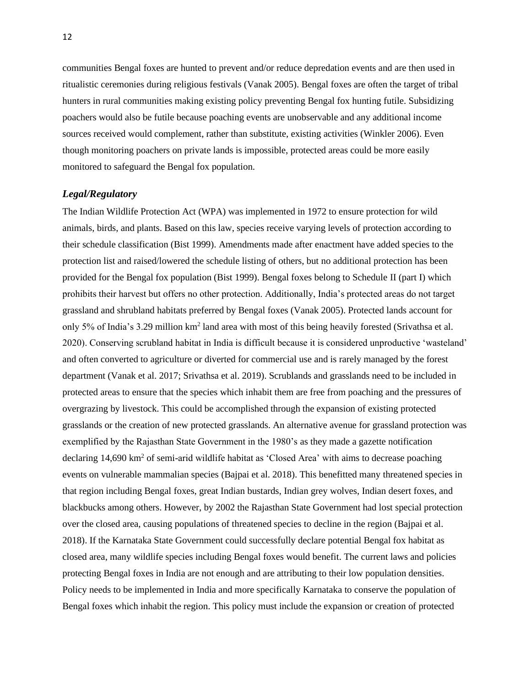communities Bengal foxes are hunted to prevent and/or reduce depredation events and are then used in ritualistic ceremonies during religious festivals (Vanak 2005). Bengal foxes are often the target of tribal hunters in rural communities making existing policy preventing Bengal fox hunting futile. Subsidizing poachers would also be futile because poaching events are unobservable and any additional income sources received would complement, rather than substitute, existing activities (Winkler 2006). Even though monitoring poachers on private lands is impossible, protected areas could be more easily monitored to safeguard the Bengal fox population.

#### <span id="page-14-0"></span>*Legal/Regulatory*

The Indian Wildlife Protection Act (WPA) was implemented in 1972 to ensure protection for wild animals, birds, and plants. Based on this law, species receive varying levels of protection according to their schedule classification (Bist 1999). Amendments made after enactment have added species to the protection list and raised/lowered the schedule listing of others, but no additional protection has been provided for the Bengal fox population (Bist 1999). Bengal foxes belong to Schedule II (part I) which prohibits their harvest but offers no other protection. Additionally, India's protected areas do not target grassland and shrubland habitats preferred by Bengal foxes (Vanak 2005). Protected lands account for only 5% of India's 3.29 million km<sup>2</sup> land area with most of this being heavily forested (Srivathsa et al. 2020). Conserving scrubland habitat in India is difficult because it is considered unproductive 'wasteland' and often converted to agriculture or diverted for commercial use and is rarely managed by the forest department (Vanak et al. 2017; Srivathsa et al. 2019). Scrublands and grasslands need to be included in protected areas to ensure that the species which inhabit them are free from poaching and the pressures of overgrazing by livestock. This could be accomplished through the expansion of existing protected grasslands or the creation of new protected grasslands. An alternative avenue for grassland protection was exemplified by the Rajasthan State Government in the 1980's as they made a gazette notification declaring 14,690 km<sup>2</sup> of semi-arid wildlife habitat as 'Closed Area' with aims to decrease poaching events on vulnerable mammalian species (Bajpai et al. 2018). This benefitted many threatened species in that region including Bengal foxes, great Indian bustards, Indian grey wolves, Indian desert foxes, and blackbucks among others. However, by 2002 the Rajasthan State Government had lost special protection over the closed area, causing populations of threatened species to decline in the region (Bajpai et al. 2018). If the Karnataka State Government could successfully declare potential Bengal fox habitat as closed area, many wildlife species including Bengal foxes would benefit. The current laws and policies protecting Bengal foxes in India are not enough and are attributing to their low population densities. Policy needs to be implemented in India and more specifically Karnataka to conserve the population of Bengal foxes which inhabit the region. This policy must include the expansion or creation of protected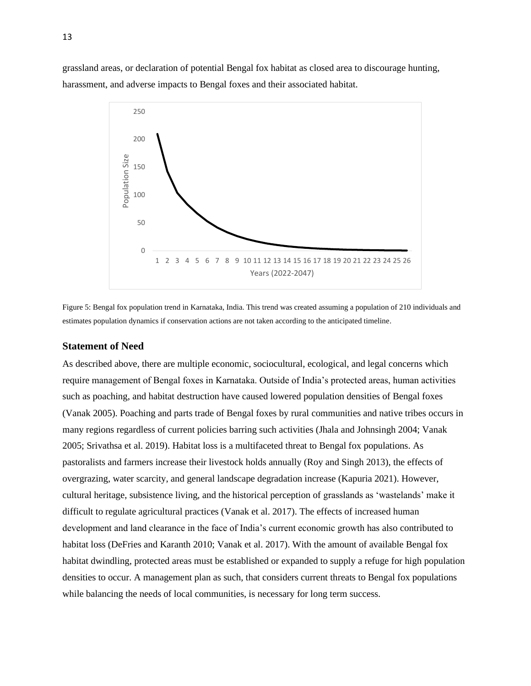grassland areas, or declaration of potential Bengal fox habitat as closed area to discourage hunting, harassment, and adverse impacts to Bengal foxes and their associated habitat.



Figure 5: Bengal fox population trend in Karnataka, India. This trend was created assuming a population of 210 individuals and estimates population dynamics if conservation actions are not taken according to the anticipated timeline.

#### <span id="page-15-0"></span>**Statement of Need**

As described above, there are multiple economic, sociocultural, ecological, and legal concerns which require management of Bengal foxes in Karnataka. Outside of India's protected areas, human activities such as poaching, and habitat destruction have caused lowered population densities of Bengal foxes (Vanak 2005). Poaching and parts trade of Bengal foxes by rural communities and native tribes occurs in many regions regardless of current policies barring such activities (Jhala and Johnsingh 2004; Vanak 2005; Srivathsa et al. 2019). Habitat loss is a multifaceted threat to Bengal fox populations. As pastoralists and farmers increase their livestock holds annually (Roy and Singh 2013), the effects of overgrazing, water scarcity, and general landscape degradation increase (Kapuria 2021). However, cultural heritage, subsistence living, and the historical perception of grasslands as 'wastelands' make it difficult to regulate agricultural practices (Vanak et al. 2017). The effects of increased human development and land clearance in the face of India's current economic growth has also contributed to habitat loss (DeFries and Karanth 2010; Vanak et al. 2017). With the amount of available Bengal fox habitat dwindling, protected areas must be established or expanded to supply a refuge for high population densities to occur. A management plan as such, that considers current threats to Bengal fox populations while balancing the needs of local communities, is necessary for long term success.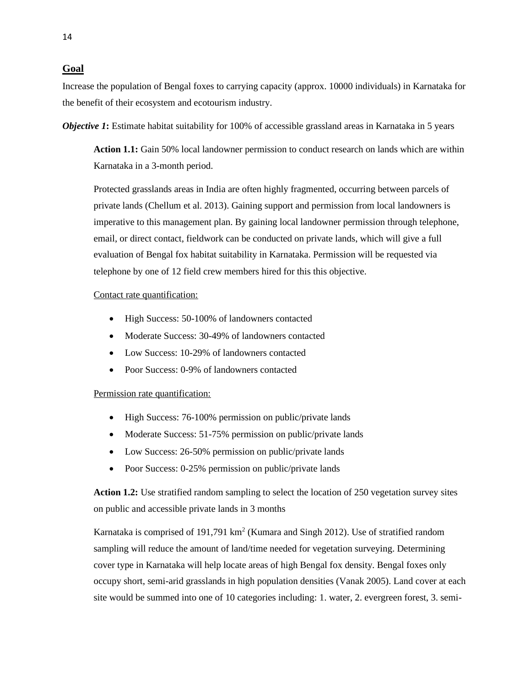# <span id="page-16-0"></span>**Goal**

Increase the population of Bengal foxes to carrying capacity (approx. 10000 individuals) in Karnataka for the benefit of their ecosystem and ecotourism industry.

<span id="page-16-2"></span><span id="page-16-1"></span>*Objective 1:* Estimate habitat suitability for 100% of accessible grassland areas in Karnataka in 5 years

**Action 1.1:** Gain 50% local landowner permission to conduct research on lands which are within Karnataka in a 3-month period.

Protected grasslands areas in India are often highly fragmented, occurring between parcels of private lands (Chellum et al. 2013). Gaining support and permission from local landowners is imperative to this management plan. By gaining local landowner permission through telephone, email, or direct contact, fieldwork can be conducted on private lands, which will give a full evaluation of Bengal fox habitat suitability in Karnataka. Permission will be requested via telephone by one of 12 field crew members hired for this this objective.

# Contact rate quantification:

- High Success: 50-100% of landowners contacted
- Moderate Success: 30-49% of landowners contacted
- Low Success: 10-29% of landowners contacted
- Poor Success: 0-9% of landowners contacted

# Permission rate quantification:

- High Success: 76-100% permission on public/private lands
- Moderate Success: 51-75% permission on public/private lands
- Low Success: 26-50% permission on public/private lands
- Poor Success: 0-25% permission on public/private lands

**Action 1.2:** Use stratified random sampling to select the location of 250 vegetation survey sites on public and accessible private lands in 3 months

Karnataka is comprised of 191,791  $km^2$  (Kumara and Singh 2012). Use of stratified random sampling will reduce the amount of land/time needed for vegetation surveying. Determining cover type in Karnataka will help locate areas of high Bengal fox density. Bengal foxes only occupy short, semi-arid grasslands in high population densities (Vanak 2005). Land cover at each site would be summed into one of 10 categories including: 1. water, 2. evergreen forest, 3. semi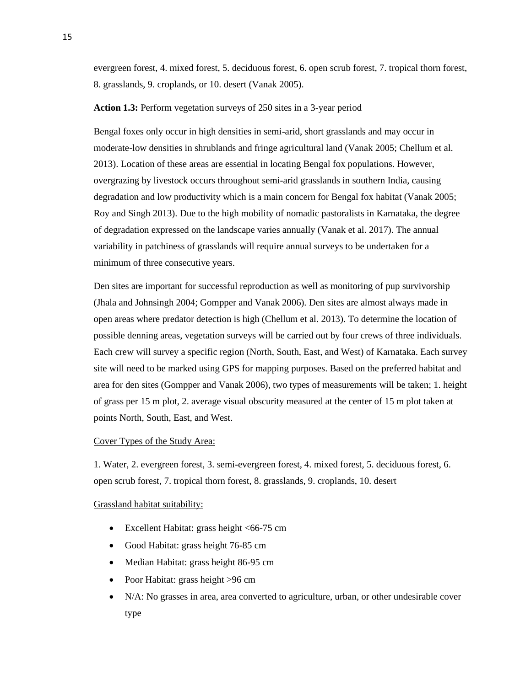evergreen forest, 4. mixed forest, 5. deciduous forest, 6. open scrub forest, 7. tropical thorn forest, 8. grasslands, 9. croplands, or 10. desert (Vanak 2005).

#### **Action 1.3:** Perform vegetation surveys of 250 sites in a 3-year period

Bengal foxes only occur in high densities in semi-arid, short grasslands and may occur in moderate-low densities in shrublands and fringe agricultural land (Vanak 2005; Chellum et al. 2013). Location of these areas are essential in locating Bengal fox populations. However, overgrazing by livestock occurs throughout semi-arid grasslands in southern India, causing degradation and low productivity which is a main concern for Bengal fox habitat (Vanak 2005; Roy and Singh 2013). Due to the high mobility of nomadic pastoralists in Karnataka, the degree of degradation expressed on the landscape varies annually (Vanak et al. 2017). The annual variability in patchiness of grasslands will require annual surveys to be undertaken for a minimum of three consecutive years.

Den sites are important for successful reproduction as well as monitoring of pup survivorship (Jhala and Johnsingh 2004; Gompper and Vanak 2006). Den sites are almost always made in open areas where predator detection is high (Chellum et al. 2013). To determine the location of possible denning areas, vegetation surveys will be carried out by four crews of three individuals. Each crew will survey a specific region (North, South, East, and West) of Karnataka. Each survey site will need to be marked using GPS for mapping purposes. Based on the preferred habitat and area for den sites (Gompper and Vanak 2006), two types of measurements will be taken; 1. height of grass per 15 m plot, 2. average visual obscurity measured at the center of 15 m plot taken at points North, South, East, and West.

#### Cover Types of the Study Area:

1. Water, 2. evergreen forest, 3. semi-evergreen forest, 4. mixed forest, 5. deciduous forest, 6. open scrub forest, 7. tropical thorn forest, 8. grasslands, 9. croplands, 10. desert

#### Grassland habitat suitability:

- Excellent Habitat: grass height <66-75 cm
- Good Habitat: grass height 76-85 cm
- Median Habitat: grass height 86-95 cm
- Poor Habitat: grass height >96 cm
- N/A: No grasses in area, area converted to agriculture, urban, or other undesirable cover type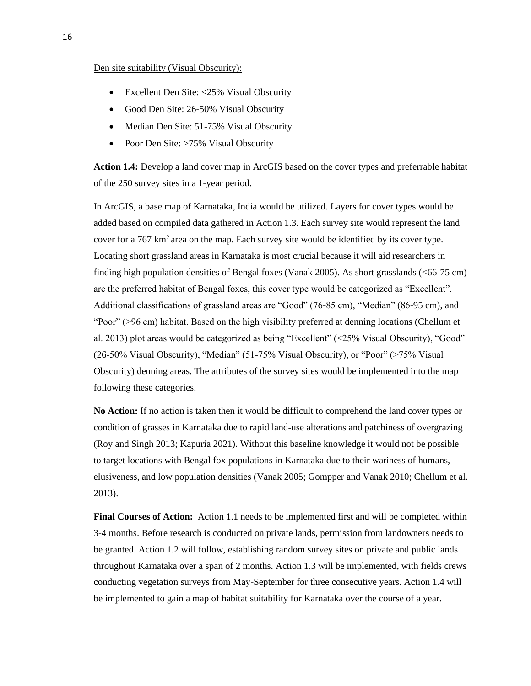### Den site suitability (Visual Obscurity):

- Excellent Den Site: <25% Visual Obscurity
- Good Den Site: 26-50% Visual Obscurity
- Median Den Site: 51-75% Visual Obscurity
- Poor Den Site: >75% Visual Obscurity

**Action 1.4:** Develop a land cover map in ArcGIS based on the cover types and preferrable habitat of the 250 survey sites in a 1-year period.

In ArcGIS, a base map of Karnataka, India would be utilized. Layers for cover types would be added based on compiled data gathered in Action 1.3. Each survey site would represent the land cover for a  $767 \text{ km}^2$  area on the map. Each survey site would be identified by its cover type. Locating short grassland areas in Karnataka is most crucial because it will aid researchers in finding high population densities of Bengal foxes (Vanak 2005). As short grasslands (<66-75 cm) are the preferred habitat of Bengal foxes, this cover type would be categorized as "Excellent". Additional classifications of grassland areas are "Good" (76-85 cm), "Median" (86-95 cm), and "Poor" (>96 cm) habitat. Based on the high visibility preferred at denning locations (Chellum et al. 2013) plot areas would be categorized as being "Excellent" (<25% Visual Obscurity), "Good" (26-50% Visual Obscurity), "Median" (51-75% Visual Obscurity), or "Poor" (>75% Visual Obscurity) denning areas. The attributes of the survey sites would be implemented into the map following these categories.

**No Action:** If no action is taken then it would be difficult to comprehend the land cover types or condition of grasses in Karnataka due to rapid land-use alterations and patchiness of overgrazing (Roy and Singh 2013; Kapuria 2021). Without this baseline knowledge it would not be possible to target locations with Bengal fox populations in Karnataka due to their wariness of humans, elusiveness, and low population densities (Vanak 2005; Gompper and Vanak 2010; Chellum et al. 2013).

**Final Courses of Action:** Action 1.1 needs to be implemented first and will be completed within 3-4 months. Before research is conducted on private lands, permission from landowners needs to be granted. Action 1.2 will follow, establishing random survey sites on private and public lands throughout Karnataka over a span of 2 months. Action 1.3 will be implemented, with fields crews conducting vegetation surveys from May-September for three consecutive years. Action 1.4 will be implemented to gain a map of habitat suitability for Karnataka over the course of a year.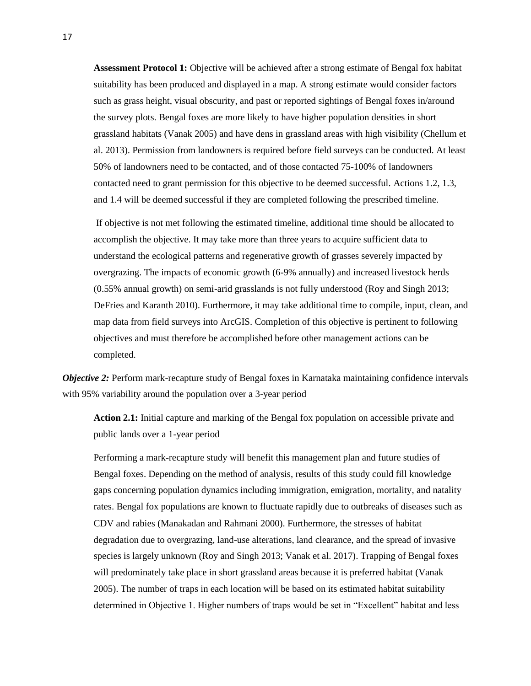**Assessment Protocol 1:** Objective will be achieved after a strong estimate of Bengal fox habitat suitability has been produced and displayed in a map. A strong estimate would consider factors such as grass height, visual obscurity, and past or reported sightings of Bengal foxes in/around the survey plots. Bengal foxes are more likely to have higher population densities in short grassland habitats (Vanak 2005) and have dens in grassland areas with high visibility (Chellum et al. 2013). Permission from landowners is required before field surveys can be conducted. At least 50% of landowners need to be contacted, and of those contacted 75-100% of landowners contacted need to grant permission for this objective to be deemed successful. Actions 1.2, 1.3, and 1.4 will be deemed successful if they are completed following the prescribed timeline.

If objective is not met following the estimated timeline, additional time should be allocated to accomplish the objective. It may take more than three years to acquire sufficient data to understand the ecological patterns and regenerative growth of grasses severely impacted by overgrazing. The impacts of economic growth (6-9% annually) and increased livestock herds (0.55% annual growth) on semi-arid grasslands is not fully understood (Roy and Singh 2013; DeFries and Karanth 2010). Furthermore, it may take additional time to compile, input, clean, and map data from field surveys into ArcGIS. Completion of this objective is pertinent to following objectives and must therefore be accomplished before other management actions can be completed.

*Objective 2:* Perform mark-recapture study of Bengal foxes in Karnataka maintaining confidence intervals with 95% variability around the population over a 3-year period

**Action 2.1:** Initial capture and marking of the Bengal fox population on accessible private and public lands over a 1-year period

Performing a mark-recapture study will benefit this management plan and future studies of Bengal foxes. Depending on the method of analysis, results of this study could fill knowledge gaps concerning population dynamics including immigration, emigration, mortality, and natality rates. Bengal fox populations are known to fluctuate rapidly due to outbreaks of diseases such as CDV and rabies (Manakadan and Rahmani 2000). Furthermore, the stresses of habitat degradation due to overgrazing, land-use alterations, land clearance, and the spread of invasive species is largely unknown (Roy and Singh 2013; Vanak et al. 2017). Trapping of Bengal foxes will predominately take place in short grassland areas because it is preferred habitat (Vanak 2005). The number of traps in each location will be based on its estimated habitat suitability determined in Objective 1. Higher numbers of traps would be set in "Excellent" habitat and less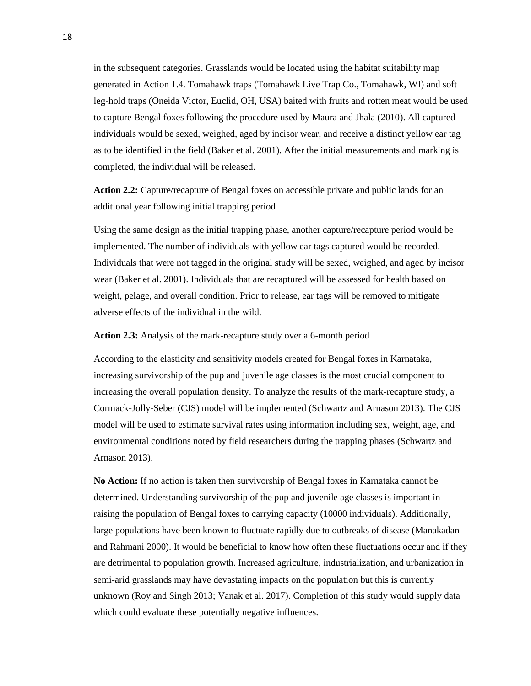in the subsequent categories. Grasslands would be located using the habitat suitability map generated in Action 1.4. Tomahawk traps (Tomahawk Live Trap Co., Tomahawk, WI) and soft leg-hold traps (Oneida Victor, Euclid, OH, USA) baited with fruits and rotten meat would be used to capture Bengal foxes following the procedure used by Maura and Jhala (2010). All captured individuals would be sexed, weighed, aged by incisor wear, and receive a distinct yellow ear tag as to be identified in the field (Baker et al. 2001). After the initial measurements and marking is completed, the individual will be released.

**Action 2.2:** Capture/recapture of Bengal foxes on accessible private and public lands for an additional year following initial trapping period

Using the same design as the initial trapping phase, another capture/recapture period would be implemented. The number of individuals with yellow ear tags captured would be recorded. Individuals that were not tagged in the original study will be sexed, weighed, and aged by incisor wear (Baker et al. 2001). Individuals that are recaptured will be assessed for health based on weight, pelage, and overall condition. Prior to release, ear tags will be removed to mitigate adverse effects of the individual in the wild.

**Action 2.3:** Analysis of the mark-recapture study over a 6-month period

According to the elasticity and sensitivity models created for Bengal foxes in Karnataka, increasing survivorship of the pup and juvenile age classes is the most crucial component to increasing the overall population density. To analyze the results of the mark-recapture study, a Cormack-Jolly-Seber (CJS) model will be implemented (Schwartz and Arnason 2013). The CJS model will be used to estimate survival rates using information including sex, weight, age, and environmental conditions noted by field researchers during the trapping phases (Schwartz and Arnason 2013).

**No Action:** If no action is taken then survivorship of Bengal foxes in Karnataka cannot be determined. Understanding survivorship of the pup and juvenile age classes is important in raising the population of Bengal foxes to carrying capacity (10000 individuals). Additionally, large populations have been known to fluctuate rapidly due to outbreaks of disease (Manakadan and Rahmani 2000). It would be beneficial to know how often these fluctuations occur and if they are detrimental to population growth. Increased agriculture, industrialization, and urbanization in semi-arid grasslands may have devastating impacts on the population but this is currently unknown (Roy and Singh 2013; Vanak et al. 2017). Completion of this study would supply data which could evaluate these potentially negative influences.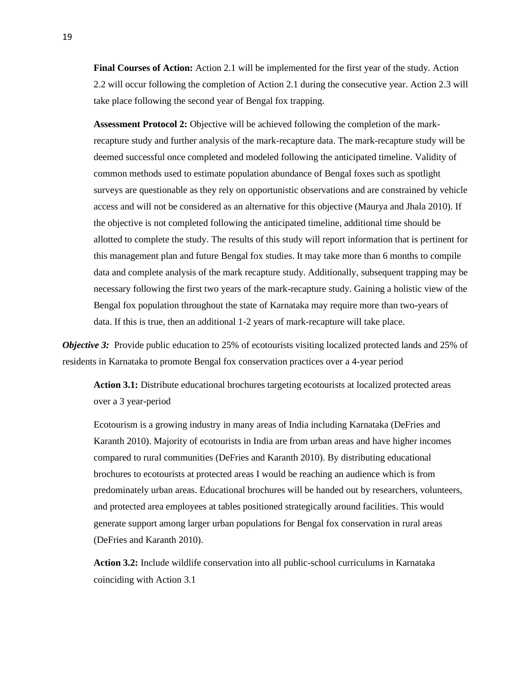**Final Courses of Action:** Action 2.1 will be implemented for the first year of the study. Action 2.2 will occur following the completion of Action 2.1 during the consecutive year. Action 2.3 will take place following the second year of Bengal fox trapping.

**Assessment Protocol 2:** Objective will be achieved following the completion of the markrecapture study and further analysis of the mark-recapture data. The mark-recapture study will be deemed successful once completed and modeled following the anticipated timeline. Validity of common methods used to estimate population abundance of Bengal foxes such as spotlight surveys are questionable as they rely on opportunistic observations and are constrained by vehicle access and will not be considered as an alternative for this objective (Maurya and Jhala 2010). If the objective is not completed following the anticipated timeline, additional time should be allotted to complete the study. The results of this study will report information that is pertinent for this management plan and future Bengal fox studies. It may take more than 6 months to compile data and complete analysis of the mark recapture study. Additionally, subsequent trapping may be necessary following the first two years of the mark-recapture study. Gaining a holistic view of the Bengal fox population throughout the state of Karnataka may require more than two-years of data. If this is true, then an additional 1-2 years of mark-recapture will take place.

*Objective 3:* Provide public education to 25% of ecotourists visiting localized protected lands and 25% of residents in Karnataka to promote Bengal fox conservation practices over a 4-year period

**Action 3.1:** Distribute educational brochures targeting ecotourists at localized protected areas over a 3 year-period

Ecotourism is a growing industry in many areas of India including Karnataka (DeFries and Karanth 2010). Majority of ecotourists in India are from urban areas and have higher incomes compared to rural communities (DeFries and Karanth 2010). By distributing educational brochures to ecotourists at protected areas I would be reaching an audience which is from predominately urban areas. Educational brochures will be handed out by researchers, volunteers, and protected area employees at tables positioned strategically around facilities. This would generate support among larger urban populations for Bengal fox conservation in rural areas (DeFries and Karanth 2010).

**Action 3.2:** Include wildlife conservation into all public-school curriculums in Karnataka coinciding with Action 3.1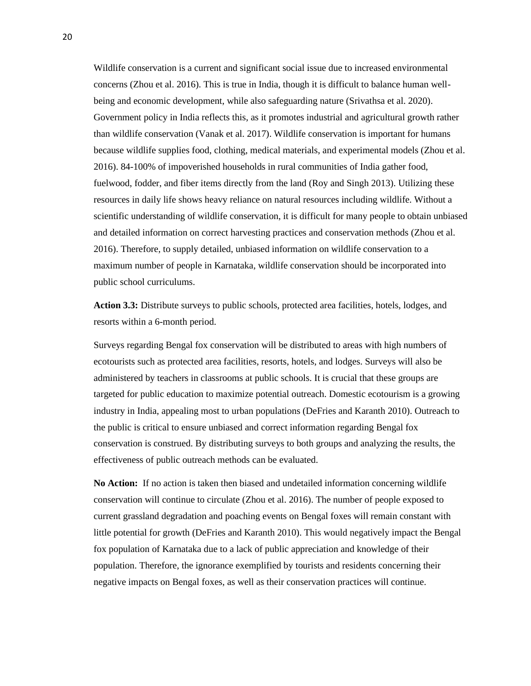Wildlife conservation is a current and significant social issue due to increased environmental concerns (Zhou et al. 2016). This is true in India, though it is difficult to balance human wellbeing and economic development, while also safeguarding nature (Srivathsa et al. 2020). Government policy in India reflects this, as it promotes industrial and agricultural growth rather than wildlife conservation (Vanak et al. 2017). Wildlife conservation is important for humans because wildlife supplies food, clothing, medical materials, and experimental models (Zhou et al. 2016). 84-100% of impoverished households in rural communities of India gather food, fuelwood, fodder, and fiber items directly from the land (Roy and Singh 2013). Utilizing these resources in daily life shows heavy reliance on natural resources including wildlife. Without a scientific understanding of wildlife conservation, it is difficult for many people to obtain unbiased and detailed information on correct harvesting practices and conservation methods (Zhou et al. 2016). Therefore, to supply detailed, unbiased information on wildlife conservation to a maximum number of people in Karnataka, wildlife conservation should be incorporated into public school curriculums.

**Action 3.3:** Distribute surveys to public schools, protected area facilities, hotels, lodges, and resorts within a 6-month period.

Surveys regarding Bengal fox conservation will be distributed to areas with high numbers of ecotourists such as protected area facilities, resorts, hotels, and lodges. Surveys will also be administered by teachers in classrooms at public schools. It is crucial that these groups are targeted for public education to maximize potential outreach. Domestic ecotourism is a growing industry in India, appealing most to urban populations (DeFries and Karanth 2010). Outreach to the public is critical to ensure unbiased and correct information regarding Bengal fox conservation is construed. By distributing surveys to both groups and analyzing the results, the effectiveness of public outreach methods can be evaluated.

**No Action:** If no action is taken then biased and undetailed information concerning wildlife conservation will continue to circulate (Zhou et al. 2016). The number of people exposed to current grassland degradation and poaching events on Bengal foxes will remain constant with little potential for growth (DeFries and Karanth 2010). This would negatively impact the Bengal fox population of Karnataka due to a lack of public appreciation and knowledge of their population. Therefore, the ignorance exemplified by tourists and residents concerning their negative impacts on Bengal foxes, as well as their conservation practices will continue.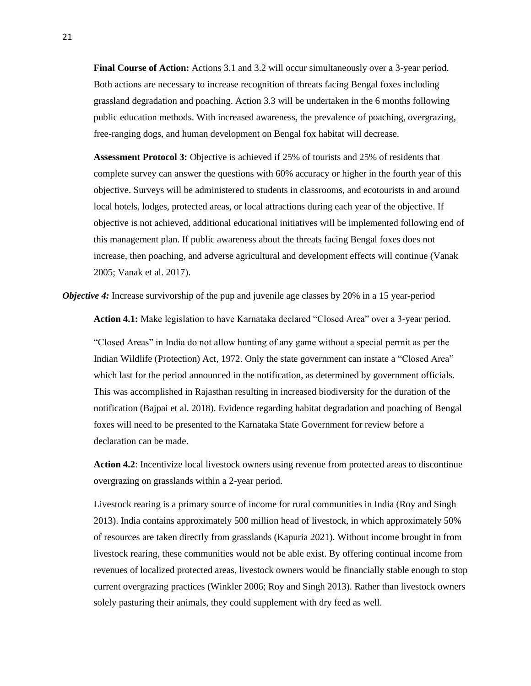**Final Course of Action:** Actions 3.1 and 3.2 will occur simultaneously over a 3-year period. Both actions are necessary to increase recognition of threats facing Bengal foxes including grassland degradation and poaching. Action 3.3 will be undertaken in the 6 months following public education methods. With increased awareness, the prevalence of poaching, overgrazing, free-ranging dogs, and human development on Bengal fox habitat will decrease.

**Assessment Protocol 3:** Objective is achieved if 25% of tourists and 25% of residents that complete survey can answer the questions with 60% accuracy or higher in the fourth year of this objective. Surveys will be administered to students in classrooms, and ecotourists in and around local hotels, lodges, protected areas, or local attractions during each year of the objective. If objective is not achieved, additional educational initiatives will be implemented following end of this management plan. If public awareness about the threats facing Bengal foxes does not increase, then poaching, and adverse agricultural and development effects will continue (Vanak 2005; Vanak et al. 2017).

*Objective 4:* Increase survivorship of the pup and juvenile age classes by 20% in a 15 year-period

**Action 4.1:** Make legislation to have Karnataka declared "Closed Area" over a 3-year period.

"Closed Areas" in India do not allow hunting of any game without a special permit as per the Indian Wildlife (Protection) Act, 1972. Only the state government can instate a "Closed Area" which last for the period announced in the notification, as determined by government officials. This was accomplished in Rajasthan resulting in increased biodiversity for the duration of the notification (Bajpai et al. 2018). Evidence regarding habitat degradation and poaching of Bengal foxes will need to be presented to the Karnataka State Government for review before a declaration can be made.

**Action 4.2**: Incentivize local livestock owners using revenue from protected areas to discontinue overgrazing on grasslands within a 2-year period.

Livestock rearing is a primary source of income for rural communities in India (Roy and Singh 2013). India contains approximately 500 million head of livestock, in which approximately 50% of resources are taken directly from grasslands (Kapuria 2021). Without income brought in from livestock rearing, these communities would not be able exist. By offering continual income from revenues of localized protected areas, livestock owners would be financially stable enough to stop current overgrazing practices (Winkler 2006; Roy and Singh 2013). Rather than livestock owners solely pasturing their animals, they could supplement with dry feed as well.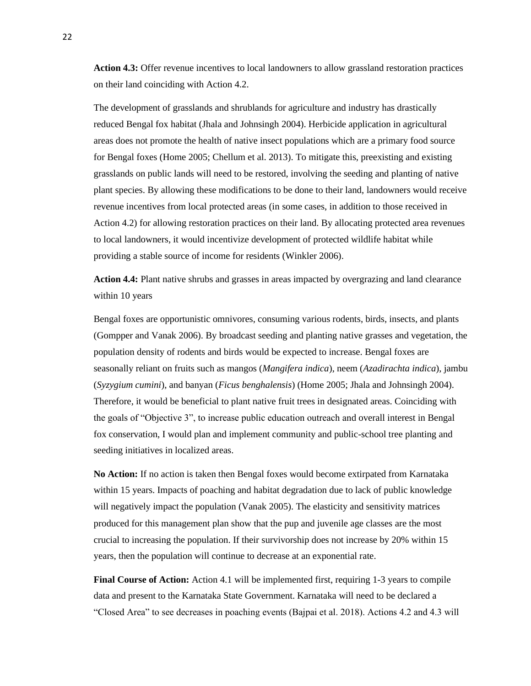Action 4.3: Offer revenue incentives to local landowners to allow grassland restoration practices on their land coinciding with Action 4.2.

The development of grasslands and shrublands for agriculture and industry has drastically reduced Bengal fox habitat (Jhala and Johnsingh 2004). Herbicide application in agricultural areas does not promote the health of native insect populations which are a primary food source for Bengal foxes (Home 2005; Chellum et al. 2013). To mitigate this, preexisting and existing grasslands on public lands will need to be restored, involving the seeding and planting of native plant species. By allowing these modifications to be done to their land, landowners would receive revenue incentives from local protected areas (in some cases, in addition to those received in Action 4.2) for allowing restoration practices on their land. By allocating protected area revenues to local landowners, it would incentivize development of protected wildlife habitat while providing a stable source of income for residents (Winkler 2006).

**Action 4.4:** Plant native shrubs and grasses in areas impacted by overgrazing and land clearance within 10 years

Bengal foxes are opportunistic omnivores, consuming various rodents, birds, insects, and plants (Gompper and Vanak 2006). By broadcast seeding and planting native grasses and vegetation, the population density of rodents and birds would be expected to increase. Bengal foxes are seasonally reliant on fruits such as mangos (*Mangifera indica*), neem (*Azadirachta indica*), jambu (*Syzygium cumini*), and banyan (*Ficus benghalensis*) (Home 2005; Jhala and Johnsingh 2004). Therefore, it would be beneficial to plant native fruit trees in designated areas. Coinciding with the goals of "Objective 3", to increase public education outreach and overall interest in Bengal fox conservation, I would plan and implement community and public-school tree planting and seeding initiatives in localized areas.

**No Action:** If no action is taken then Bengal foxes would become extirpated from Karnataka within 15 years. Impacts of poaching and habitat degradation due to lack of public knowledge will negatively impact the population (Vanak 2005). The elasticity and sensitivity matrices produced for this management plan show that the pup and juvenile age classes are the most crucial to increasing the population. If their survivorship does not increase by 20% within 15 years, then the population will continue to decrease at an exponential rate.

**Final Course of Action:** Action 4.1 will be implemented first, requiring 1-3 years to compile data and present to the Karnataka State Government. Karnataka will need to be declared a "Closed Area" to see decreases in poaching events (Bajpai et al. 2018). Actions 4.2 and 4.3 will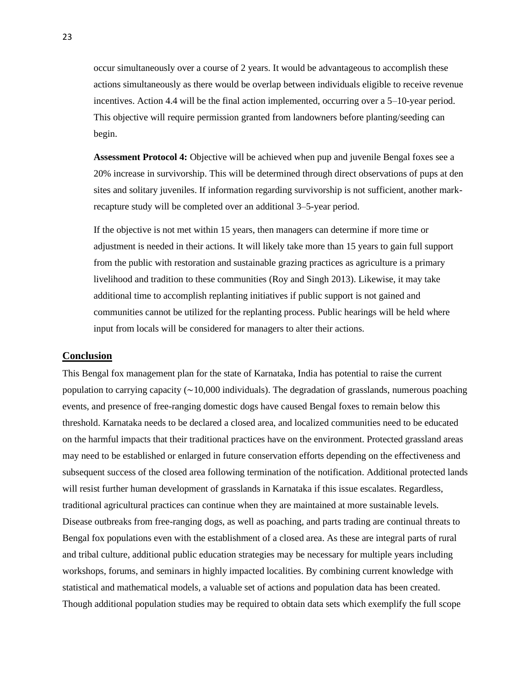occur simultaneously over a course of 2 years. It would be advantageous to accomplish these actions simultaneously as there would be overlap between individuals eligible to receive revenue incentives. Action 4.4 will be the final action implemented, occurring over a 5–10-year period. This objective will require permission granted from landowners before planting/seeding can begin.

**Assessment Protocol 4:** Objective will be achieved when pup and juvenile Bengal foxes see a 20% increase in survivorship. This will be determined through direct observations of pups at den sites and solitary juveniles. If information regarding survivorship is not sufficient, another markrecapture study will be completed over an additional 3–5-year period.

If the objective is not met within 15 years, then managers can determine if more time or adjustment is needed in their actions. It will likely take more than 15 years to gain full support from the public with restoration and sustainable grazing practices as agriculture is a primary livelihood and tradition to these communities (Roy and Singh 2013). Likewise, it may take additional time to accomplish replanting initiatives if public support is not gained and communities cannot be utilized for the replanting process. Public hearings will be held where input from locals will be considered for managers to alter their actions.

#### <span id="page-25-0"></span>**Conclusion**

This Bengal fox management plan for the state of Karnataka, India has potential to raise the current population to carrying capacity  $(\sim 10,000$  individuals). The degradation of grasslands, numerous poaching events, and presence of free-ranging domestic dogs have caused Bengal foxes to remain below this threshold. Karnataka needs to be declared a closed area, and localized communities need to be educated on the harmful impacts that their traditional practices have on the environment. Protected grassland areas may need to be established or enlarged in future conservation efforts depending on the effectiveness and subsequent success of the closed area following termination of the notification. Additional protected lands will resist further human development of grasslands in Karnataka if this issue escalates. Regardless, traditional agricultural practices can continue when they are maintained at more sustainable levels. Disease outbreaks from free-ranging dogs, as well as poaching, and parts trading are continual threats to Bengal fox populations even with the establishment of a closed area. As these are integral parts of rural and tribal culture, additional public education strategies may be necessary for multiple years including workshops, forums, and seminars in highly impacted localities. By combining current knowledge with statistical and mathematical models, a valuable set of actions and population data has been created. Though additional population studies may be required to obtain data sets which exemplify the full scope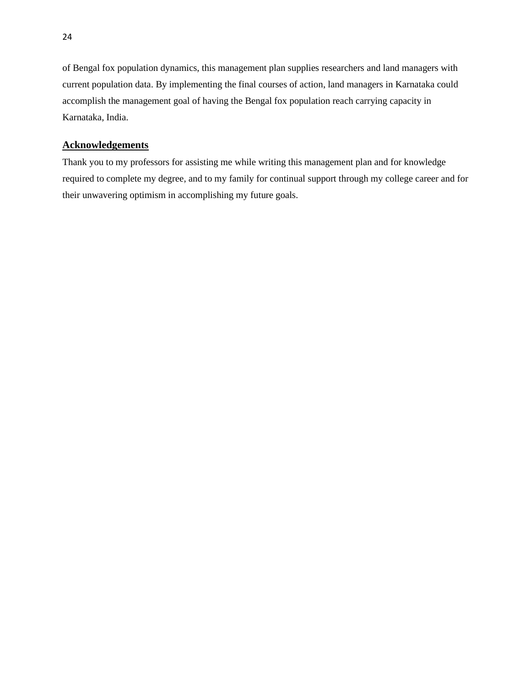of Bengal fox population dynamics, this management plan supplies researchers and land managers with current population data. By implementing the final courses of action, land managers in Karnataka could accomplish the management goal of having the Bengal fox population reach carrying capacity in Karnataka, India.

# <span id="page-26-0"></span>**Acknowledgements**

Thank you to my professors for assisting me while writing this management plan and for knowledge required to complete my degree, and to my family for continual support through my college career and for their unwavering optimism in accomplishing my future goals.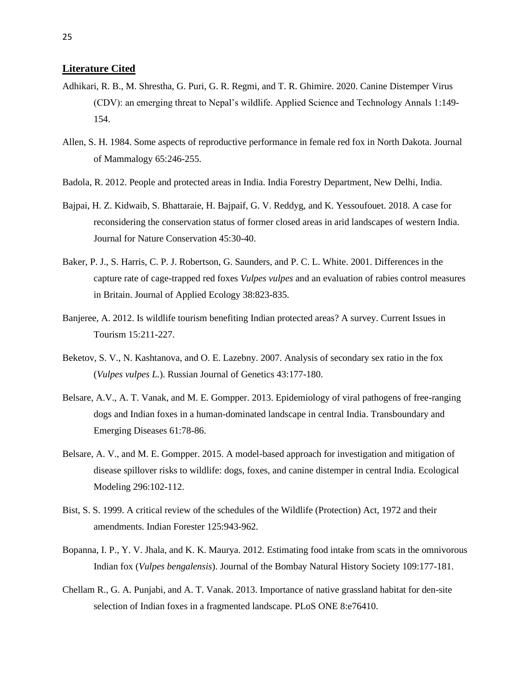### <span id="page-27-0"></span>**Literature Cited**

- Adhikari, R. B., M. Shrestha, G. Puri, G. R. Regmi, and T. R. Ghimire. 2020. Canine Distemper Virus (CDV): an emerging threat to Nepal's wildlife. Applied Science and Technology Annals 1:149- 154.
- Allen, S. H. 1984. Some aspects of reproductive performance in female red fox in North Dakota. Journal of Mammalogy 65:246-255.
- Badola, R. 2012. People and protected areas in India. India Forestry Department, New Delhi, India.
- Bajpai, H. Z. Kidwaib, S. Bhattaraie, H. Bajpaif, G. V. Reddyg, and K. Yessoufouet. 2018. A case for reconsidering the conservation status of former closed areas in arid landscapes of western India. Journal for Nature Conservation 45:30-40.
- Baker, P. J., S. Harris, C. P. J. Robertson, G. Saunders, and P. C. L. White. 2001. Differences in the capture rate of cage-trapped red foxes *Vulpes vulpes* and an evaluation of rabies control measures in Britain. Journal of Applied Ecology 38:823-835.
- Banjeree, A. 2012. Is wildlife tourism benefiting Indian protected areas? A survey. Current Issues in Tourism 15:211-227.
- Beketov, S. V., N. Kashtanova, and O. E. Lazebny. 2007. Analysis of secondary sex ratio in the fox (*Vulpes vulpes L.*). Russian Journal of Genetics 43:177-180.
- Belsare, A.V., A. T. Vanak, and M. E. Gompper. 2013. Epidemiology of viral pathogens of free-ranging dogs and Indian foxes in a human-dominated landscape in central India. Transboundary and Emerging Diseases 61:78-86.
- Belsare, A. V., and M. E. Gompper. 2015. A model-based approach for investigation and mitigation of disease spillover risks to wildlife: dogs, foxes, and canine distemper in central India. Ecological Modeling 296:102-112.
- Bist, S. S. 1999. A critical review of the schedules of the Wildlife (Protection) Act, 1972 and their amendments. Indian Forester 125:943-962.
- Bopanna, I. P., Y. V. Jhala, and K. K. Maurya. 2012. Estimating food intake from scats in the omnivorous Indian fox (*Vulpes bengalensis*). Journal of the Bombay Natural History Society 109:177-181.
- Chellam R., G. A. Punjabi, and A. T. Vanak. 2013. Importance of native grassland habitat for den-site selection of Indian foxes in a fragmented landscape. PLoS ONE 8:e76410.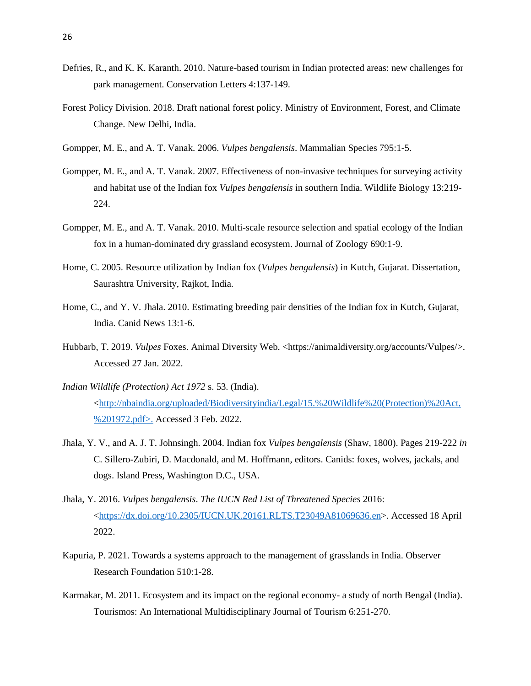- Defries, R., and K. K. Karanth. 2010. Nature-based tourism in Indian protected areas: new challenges for park management. Conservation Letters 4:137-149.
- Forest Policy Division. 2018. Draft national forest policy. Ministry of Environment, Forest, and Climate Change. New Delhi, India.
- Gompper, M. E., and A. T. Vanak. 2006. *Vulpes bengalensis*. Mammalian Species 795:1-5.
- Gompper, M. E., and A. T. Vanak. 2007. Effectiveness of non-invasive techniques for surveying activity and habitat use of the Indian fox *Vulpes bengalensis* in southern India. Wildlife Biology 13:219- 224.
- Gompper, M. E., and A. T. Vanak. 2010. Multi-scale resource selection and spatial ecology of the Indian fox in a human-dominated dry grassland ecosystem. Journal of Zoology 690:1-9.
- Home, C. 2005. Resource utilization by Indian fox (*Vulpes bengalensis*) in Kutch, Gujarat. Dissertation, Saurashtra University, Rajkot, India.
- Home, C., and Y. V. Jhala. 2010. Estimating breeding pair densities of the Indian fox in Kutch, Gujarat, India. Canid News 13:1-6.
- Hubbarb, T. 2019. *Vulpes* Foxes. Animal Diversity Web. <https://animaldiversity.org/accounts/Vulpes/>. Accessed 27 Jan. 2022.
- *Indian Wildlife (Protection) Act 1972* s. 53. (India). [<http://nbaindia.org/uploaded/Biodiversityindia/Legal/15.%20Wildlife%20\(Protection\)%20Act,](http://nbaindia.org/uploaded/Biodiversityindia/Legal/15.%20Wildlife%20(Protection)%20Act,%201972.pdf) [%201972.pdf>](http://nbaindia.org/uploaded/Biodiversityindia/Legal/15.%20Wildlife%20(Protection)%20Act,%201972.pdf). Accessed 3 Feb. 2022.
- Jhala, Y. V., and A. J. T. Johnsingh. 2004. Indian fox *Vulpes bengalensis* (Shaw, 1800). Pages 219-222 *in* C. Sillero-Zubiri, D. Macdonald, and M. Hoffmann, editors. Canids: foxes, wolves, jackals, and dogs. Island Press, Washington D.C., USA.
- Jhala, Y. 2016. *Vulpes bengalensis*. *The IUCN Red List of Threatened Species* 2016: [<https://dx.doi.org/10.2305/IUCN.UK.20161.RLTS.T23049A81069636.en>](https://dx.doi.org/10.2305/IUCN.UK.20161.RLTS.T23049A81069636.en). Accessed 18 April 2022.
- Kapuria, P. 2021. Towards a systems approach to the management of grasslands in India. Observer Research Foundation 510:1-28.
- Karmakar, M. 2011. Ecosystem and its impact on the regional economy- a study of north Bengal (India). Tourismos: An International Multidisciplinary Journal of Tourism 6:251-270.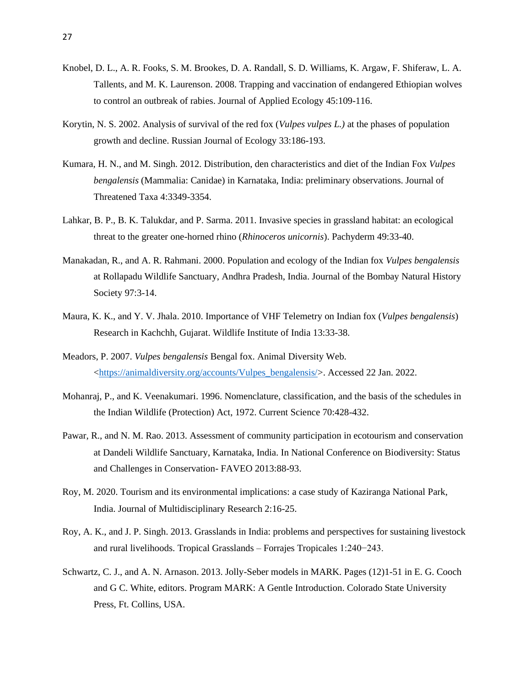- Knobel, D. L., A. R. Fooks, S. M. Brookes, D. A. Randall, S. D. Williams, K. Argaw, F. Shiferaw, L. A. Tallents, and M. K. Laurenson. 2008. Trapping and vaccination of endangered Ethiopian wolves to control an outbreak of rabies. Journal of Applied Ecology 45:109-116.
- Korytin, N. S. 2002. Analysis of survival of the red fox (*Vulpes vulpes L.)* at the phases of population growth and decline. Russian Journal of Ecology 33:186-193.
- Kumara, H. N., and M. Singh. 2012. Distribution, den characteristics and diet of the Indian Fox *Vulpes bengalensis* (Mammalia: Canidae) in Karnataka, India: preliminary observations. Journal of Threatened Taxa 4:3349-3354.
- Lahkar, B. P., B. K. Talukdar, and P. Sarma. 2011. Invasive species in grassland habitat: an ecological threat to the greater one-horned rhino (*Rhinoceros unicornis*). Pachyderm 49:33-40.
- Manakadan, R., and A. R. Rahmani. 2000. Population and ecology of the Indian fox *Vulpes bengalensis* at Rollapadu Wildlife Sanctuary, Andhra Pradesh, India. Journal of the Bombay Natural History Society 97:3-14.
- Maura, K. K., and Y. V. Jhala. 2010. Importance of VHF Telemetry on Indian fox (*Vulpes bengalensis*) Research in Kachchh, Gujarat. Wildlife Institute of India 13:33-38.
- Meadors, P. 2007. *Vulpes bengalensis* Bengal fox. Animal Diversity Web. [<https://animaldiversity.org/accounts/Vulpes\\_bengalensis/>](https://animaldiversity.org/accounts/Vulpes_bengalensis/). Accessed 22 Jan. 2022.
- Mohanraj, P., and K. Veenakumari. 1996. Nomenclature, classification, and the basis of the schedules in the Indian Wildlife (Protection) Act, 1972. Current Science 70:428-432.
- Pawar, R., and N. M. Rao. 2013. Assessment of community participation in ecotourism and conservation at Dandeli Wildlife Sanctuary, Karnataka, India. In National Conference on Biodiversity: Status and Challenges in Conservation- FAVEO 2013:88-93.
- Roy, M. 2020. Tourism and its environmental implications: a case study of Kaziranga National Park, India. Journal of Multidisciplinary Research 2:16-25.
- Roy, A. K., and J. P. Singh. 2013. Grasslands in India: problems and perspectives for sustaining livestock and rural livelihoods. Tropical Grasslands – Forrajes Tropicales 1:240−243.
- Schwartz, C. J., and A. N. Arnason. 2013. Jolly-Seber models in MARK. Pages (12)1-51 in E. G. Cooch and G C. White, editors. Program MARK: A Gentle Introduction. Colorado State University Press, Ft. Collins, USA.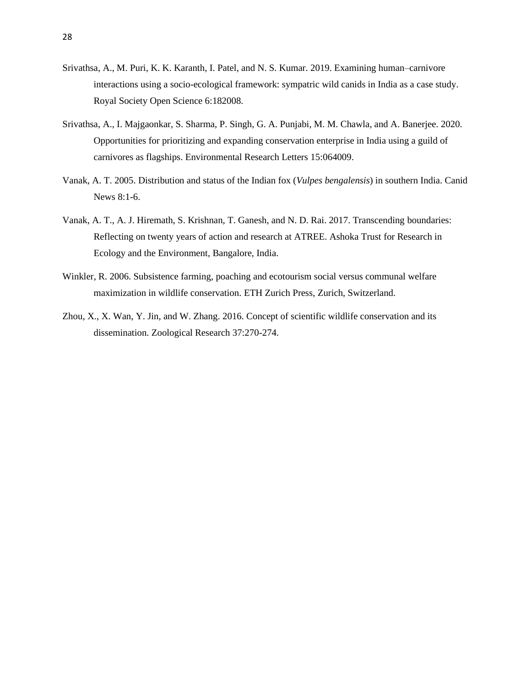- Srivathsa, A., M. Puri, K. K. Karanth, I. Patel, and N. S. Kumar. 2019. Examining human–carnivore interactions using a socio-ecological framework: sympatric wild canids in India as a case study. Royal Society Open Science 6:182008.
- Srivathsa, A., I. Majgaonkar, S. Sharma, P. Singh, G. A. Punjabi, M. M. Chawla, and A. Banerjee. 2020. Opportunities for prioritizing and expanding conservation enterprise in India using a guild of carnivores as flagships. Environmental Research Letters 15:064009.
- Vanak, A. T. 2005. Distribution and status of the Indian fox (*Vulpes bengalensis*) in southern India. Canid News 8:1-6.
- Vanak, A. T., A. J. Hiremath, S. Krishnan, T. Ganesh, and N. D. Rai. 2017. Transcending boundaries: Reflecting on twenty years of action and research at ATREE. Ashoka Trust for Research in Ecology and the Environment, Bangalore, India.
- Winkler, R. 2006. Subsistence farming, poaching and ecotourism social versus communal welfare maximization in wildlife conservation. ETH Zurich Press, Zurich, Switzerland.
- Zhou, X., X. Wan, Y. Jin, and W. Zhang. 2016. Concept of scientific wildlife conservation and its dissemination. Zoological Research 37:270-274.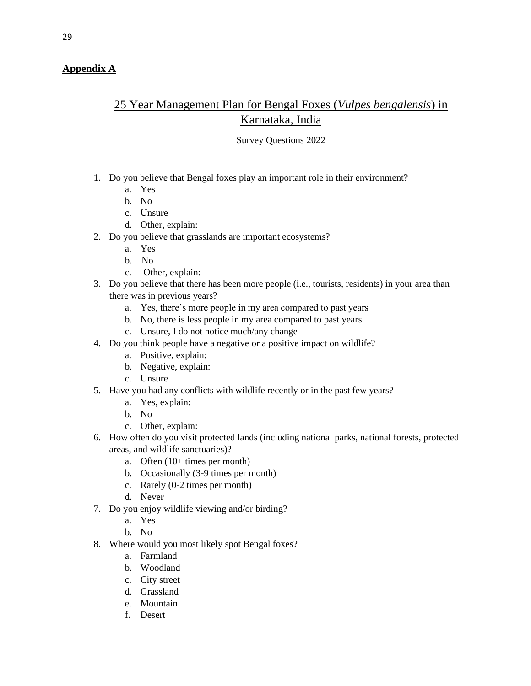# <span id="page-31-0"></span>**Appendix A**

# 25 Year Management Plan for Bengal Foxes (*Vulpes bengalensis*) in Karnataka, India

# Survey Questions 2022

- 1. Do you believe that Bengal foxes play an important role in their environment?
	- a. Yes
	- b. No
	- c. Unsure
	- d. Other, explain:
- 2. Do you believe that grasslands are important ecosystems?
	- a. Yes
	- b. No
	- c. Other, explain:
- 3. Do you believe that there has been more people (i.e., tourists, residents) in your area than there was in previous years?
	- a. Yes, there's more people in my area compared to past years
	- b. No, there is less people in my area compared to past years
	- c. Unsure, I do not notice much/any change
- 4. Do you think people have a negative or a positive impact on wildlife?
	- a. Positive, explain:
	- b. Negative, explain:
	- c. Unsure
- 5. Have you had any conflicts with wildlife recently or in the past few years?
	- a. Yes, explain:
	- b. No
	- c. Other, explain:
- 6. How often do you visit protected lands (including national parks, national forests, protected areas, and wildlife sanctuaries)?
	- a. Often (10+ times per month)
	- b. Occasionally (3-9 times per month)
	- c. Rarely (0-2 times per month)
	- d. Never
- 7. Do you enjoy wildlife viewing and/or birding?
	- a. Yes
	- b. No
- 8. Where would you most likely spot Bengal foxes?
	- a. Farmland
	- b. Woodland
	- c. City street
	- d. Grassland
	- e. Mountain
	- f. Desert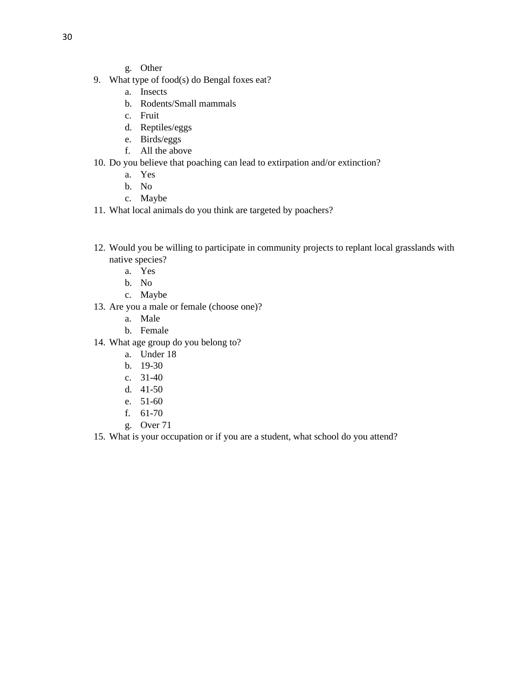- g. Other
- 9. What type of food(s) do Bengal foxes eat?
	- a. Insects
	- b. Rodents/Small mammals
	- c. Fruit
	- d. Reptiles/eggs
	- e. Birds/eggs
	- f. All the above
- 10. Do you believe that poaching can lead to extirpation and/or extinction?
	- a. Yes
	- b. No
	- c. Maybe
- 11. What local animals do you think are targeted by poachers?
- 12. Would you be willing to participate in community projects to replant local grasslands with native species?
	- a. Yes
	- b. No
	- c. Maybe
- 13. Are you a male or female (choose one)?
	- a. Male
	- b. Female
- 14. What age group do you belong to?
	- a. Under 18
	- b. 19-30
	- c. 31-40
	- d. 41-50
	- e. 51-60
	- f. 61-70
	- g. Over 71
- 15. What is your occupation or if you are a student, what school do you attend?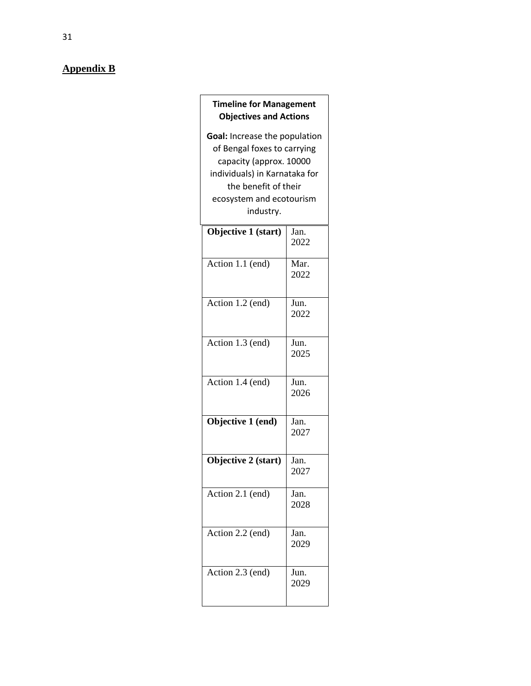# <span id="page-33-0"></span>**Appendix B**

| <b>Timeline for Management</b><br><b>Objectives and Actions</b>                                                                                                                           |              |  |
|-------------------------------------------------------------------------------------------------------------------------------------------------------------------------------------------|--------------|--|
| Goal: Increase the population<br>of Bengal foxes to carrying<br>capacity (approx. 10000<br>individuals) in Karnataka for<br>the benefit of their<br>ecosystem and ecotourism<br>industry. |              |  |
| Objective 1 (start)                                                                                                                                                                       | Jan.<br>2022 |  |
| Action $1.1$ (end)                                                                                                                                                                        | Mar.<br>2022 |  |
| Action 1.2 (end)                                                                                                                                                                          | Jun.<br>2022 |  |
| Action 1.3 (end)                                                                                                                                                                          | Jun.<br>2025 |  |
| Action 1.4 (end)                                                                                                                                                                          | Jun.<br>2026 |  |
| Objective 1 (end)                                                                                                                                                                         | Jan.<br>2027 |  |
| Objective 2 (start)                                                                                                                                                                       | Jan.<br>2027 |  |
| Action 2.1 (end)                                                                                                                                                                          | Jan.<br>2028 |  |
| Action 2.2 (end)                                                                                                                                                                          | Jan.<br>2029 |  |
| Action 2.3 (end)                                                                                                                                                                          | Jun.<br>2029 |  |